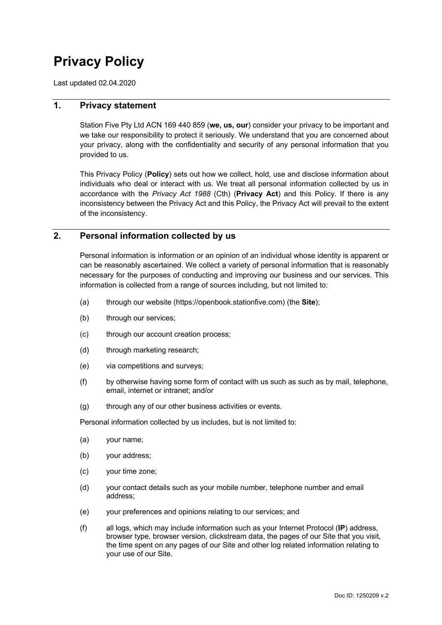# **Privacy Policy**

Last updated 02.04.2020

# **1. Privacy statement**

Station Five Pty Ltd ACN 169 440 859 (**we, us, our**) consider your privacy to be important and we take our responsibility to protect it seriously. We understand that you are concerned about your privacy, along with the confidentiality and security of any personal information that you provided to us.

This Privacy Policy (**Policy**) sets out how we collect, hold, use and disclose information about individuals who deal or interact with us. We treat all personal information collected by us in accordance with the *Privacy Act 1988* (Cth) (**Privacy Act**) and this Policy. If there is any inconsistency between the Privacy Act and this Policy, the Privacy Act will prevail to the extent of the inconsistency.

# **2. Personal information collected by us**

Personal information is information or an opinion of an individual whose identity is apparent or can be reasonably ascertained. We collect a variety of personal information that is reasonably necessary for the purposes of conducting and improving our business and our services. This information is collected from a range of sources including, but not limited to:

- (a) through our website (https://openbook.stationfive.com) (the **Site**);
- (b) through our services;
- (c) through our account creation process;
- (d) through marketing research;
- (e) via competitions and surveys;
- (f) by otherwise having some form of contact with us such as such as by mail, telephone, email, internet or intranet; and/or
- (g) through any of our other business activities or events.

Personal information collected by us includes, but is not limited to:

- (a) your name;
- (b) your address;
- (c) your time zone;
- (d) your contact details such as your mobile number, telephone number and email address;
- (e) your preferences and opinions relating to our services; and
- (f) all logs, which may include information such as your Internet Protocol (**IP**) address, browser type, browser version, clickstream data, the pages of our Site that you visit, the time spent on any pages of our Site and other log related information relating to your use of our Site.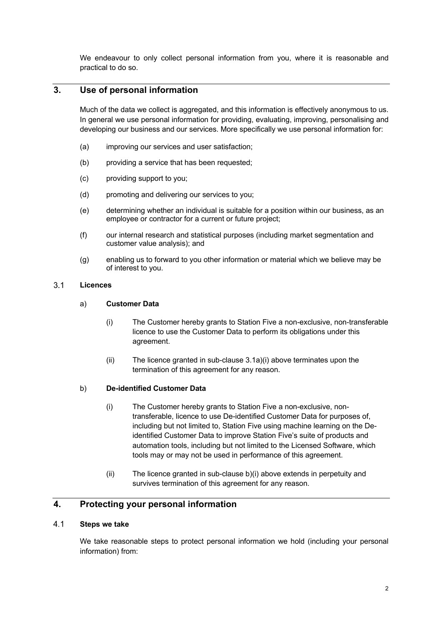We endeavour to only collect personal information from you, where it is reasonable and practical to do so.

# **3. Use of personal information**

Much of the data we collect is aggregated, and this information is effectively anonymous to us. In general we use personal information for providing, evaluating, improving, personalising and developing our business and our services. More specifically we use personal information for:

- (a) improving our services and user satisfaction;
- (b) providing a service that has been requested;
- (c) providing support to you;
- (d) promoting and delivering our services to you;
- (e) determining whether an individual is suitable for a position within our business, as an employee or contractor for a current or future project;
- (f) our internal research and statistical purposes (including market segmentation and customer value analysis); and
- (g) enabling us to forward to you other information or material which we believe may be of interest to you.

#### $3.1$ **Licences**

### a) **Customer Data**

- (i) The Customer hereby grants to Station Five a non-exclusive, non-transferable licence to use the Customer Data to perform its obligations under this agreement.
- (ii) The licence granted in sub-clause 3.1a)(i) above terminates upon the termination of this agreement for any reason.

### b) **De-identified Customer Data**

- (i) The Customer hereby grants to Station Five a non-exclusive, nontransferable, licence to use De-identified Customer Data for purposes of, including but not limited to, Station Five using machine learning on the Deidentified Customer Data to improve Station Five's suite of products and automation tools, including but not limited to the Licensed Software, which tools may or may not be used in performance of this agreement.
- (ii) The licence granted in sub-clause b)(i) above extends in perpetuity and survives termination of this agreement for any reason.

# **4. Protecting your personal information**

### $4.1$ **Steps we take**

We take reasonable steps to protect personal information we hold (including your personal information) from: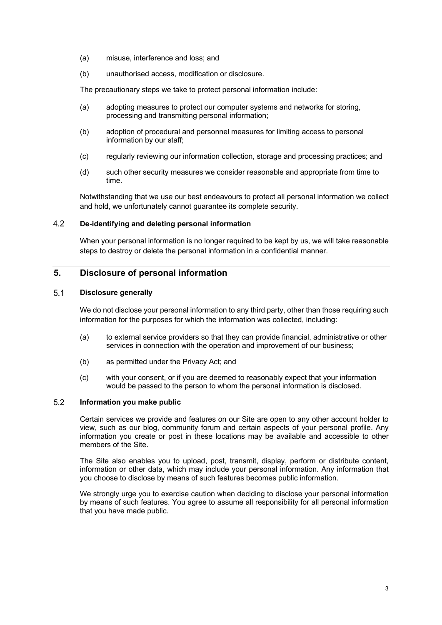- (a) misuse, interference and loss; and
- (b) unauthorised access, modification or disclosure.

The precautionary steps we take to protect personal information include:

- (a) adopting measures to protect our computer systems and networks for storing, processing and transmitting personal information;
- (b) adoption of procedural and personnel measures for limiting access to personal information by our staff;
- (c) regularly reviewing our information collection, storage and processing practices; and
- (d) such other security measures we consider reasonable and appropriate from time to time.

Notwithstanding that we use our best endeavours to protect all personal information we collect and hold, we unfortunately cannot guarantee its complete security.

### $4.2$ **De-identifying and deleting personal information**

When your personal information is no longer required to be kept by us, we will take reasonable steps to destroy or delete the personal information in a confidential manner.

# **5. Disclosure of personal information**

### $5.1$ **Disclosure generally**

We do not disclose your personal information to any third party, other than those requiring such information for the purposes for which the information was collected, including:

- (a) to external service providers so that they can provide financial, administrative or other services in connection with the operation and improvement of our business;
- (b) as permitted under the Privacy Act; and
- (c) with your consent, or if you are deemed to reasonably expect that your information would be passed to the person to whom the personal information is disclosed.

### $5.2$ **Information you make public**

Certain services we provide and features on our Site are open to any other account holder to view, such as our blog, community forum and certain aspects of your personal profile. Any information you create or post in these locations may be available and accessible to other members of the Site.

The Site also enables you to upload, post, transmit, display, perform or distribute content, information or other data, which may include your personal information. Any information that you choose to disclose by means of such features becomes public information.

We strongly urge you to exercise caution when deciding to disclose your personal information by means of such features. You agree to assume all responsibility for all personal information that you have made public.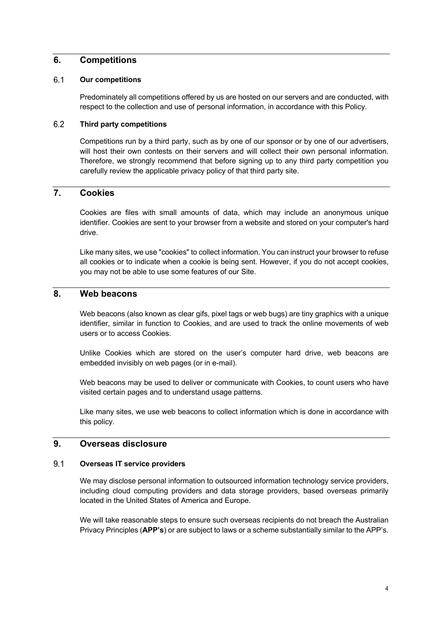### **6. Competitions**

### 6.1 **Our competitions**

Predominately all competitions offered by us are hosted on our servers and are conducted, with respect to the collection and use of personal information, in accordance with this Policy.

#### $6.2$ **Third party competitions**

Competitions run by a third party, such as by one of our sponsor or by one of our advertisers, will host their own contests on their servers and will collect their own personal information. Therefore, we strongly recommend that before signing up to any third party competition you carefully review the applicable privacy policy of that third party site.

# **7. Cookies**

Cookies are files with small amounts of data, which may include an anonymous unique identifier. Cookies are sent to your browser from a website and stored on your computer's hard drive.

Like many sites, we use "cookies" to collect information. You can instruct your browser to refuse all cookies or to indicate when a cookie is being sent. However, if you do not accept cookies, you may not be able to use some features of our Site.

# **8. Web beacons**

Web beacons (also known as clear gifs, pixel tags or web bugs) are tiny graphics with a unique identifier, similar in function to Cookies, and are used to track the online movements of web users or to access Cookies.

Unlike Cookies which are stored on the user's computer hard drive, web beacons are embedded invisibly on web pages (or in e-mail).

Web beacons may be used to deliver or communicate with Cookies, to count users who have visited certain pages and to understand usage patterns.

Like many sites, we use web beacons to collect information which is done in accordance with this policy.

### **9. Overseas disclosure**

#### $9.1$ **Overseas IT service providers**

We may disclose personal information to outsourced information technology service providers, including cloud computing providers and data storage providers, based overseas primarily located in the United States of America and Europe.

We will take reasonable steps to ensure such overseas recipients do not breach the Australian Privacy Principles (**APP's**) or are subject to laws or a scheme substantially similar to the APP's.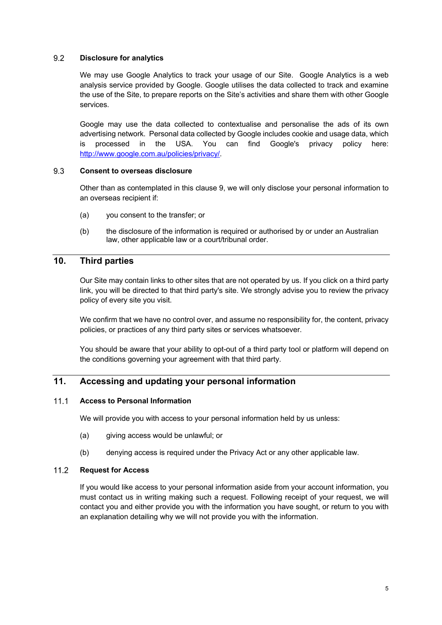### $9.2$ **Disclosure for analytics**

We may use Google Analytics to track your usage of our Site. Google Analytics is a web analysis service provided by Google. Google utilises the data collected to track and examine the use of the Site, to prepare reports on the Site's activities and share them with other Google services.

Google may use the data collected to contextualise and personalise the ads of its own advertising network. Personal data collected by Google includes cookie and usage data, which is processed in the USA. You can find Google's privacy policy here: http://www.google.com.au/policies/privacy/.

### 9.3 **Consent to overseas disclosure**

Other than as contemplated in this clause 9, we will only disclose your personal information to an overseas recipient if:

- (a) you consent to the transfer; or
- (b) the disclosure of the information is required or authorised by or under an Australian law, other applicable law or a court/tribunal order.

# **10. Third parties**

Our Site may contain links to other sites that are not operated by us. If you click on a third party link, you will be directed to that third party's site. We strongly advise you to review the privacy policy of every site you visit.

We confirm that we have no control over, and assume no responsibility for, the content, privacy policies, or practices of any third party sites or services whatsoever.

You should be aware that your ability to opt-out of a third party tool or platform will depend on the conditions governing your agreement with that third party.

# **11. Accessing and updating your personal information**

### $11.1$ **Access to Personal Information**

We will provide you with access to your personal information held by us unless:

- (a) giving access would be unlawful; or
- (b) denying access is required under the Privacy Act or any other applicable law.

### $11.2$ **Request for Access**

If you would like access to your personal information aside from your account information, you must contact us in writing making such a request. Following receipt of your request, we will contact you and either provide you with the information you have sought, or return to you with an explanation detailing why we will not provide you with the information.